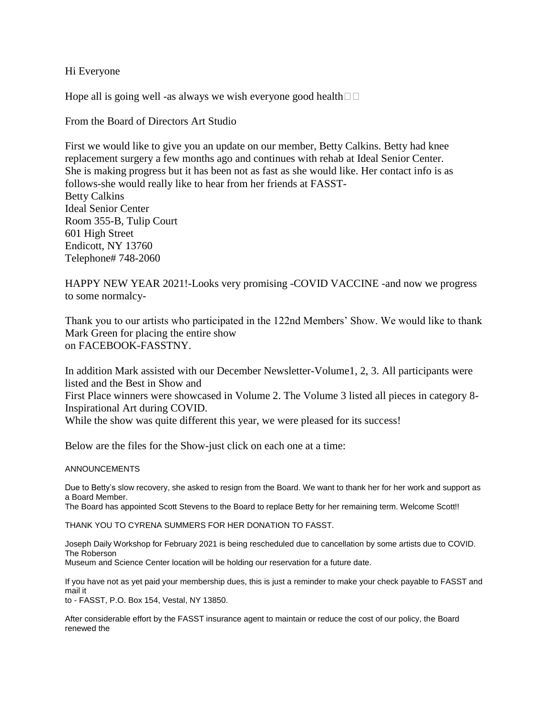## Hi Everyone

Hope all is going well -as always we wish everyone good health  $\Box$ 

From the Board of Directors Art Studio

First we would like to give you an update on our member, Betty Calkins. Betty had knee replacement surgery a few months ago and continues with rehab at Ideal Senior Center. She is making progress but it has been not as fast as she would like. Her contact info is as follows-she would really like to hear from her friends at FASST-Betty Calkins Ideal Senior Center Room 355-B, Tulip Court 601 High Street Endicott, NY 13760 Telephone# 748-2060

HAPPY NEW YEAR 2021!-Looks very promising -COVID VACCINE -and now we progress to some normalcy-

Thank you to our artists who participated in the 122nd Members' Show. We would like to thank Mark Green for placing the entire show on FACEBOOK-FASSTNY.

In addition Mark assisted with our December Newsletter-Volume1, 2, 3. All participants were listed and the Best in Show and

First Place winners were showcased in Volume 2. The Volume 3 listed all pieces in category 8- Inspirational Art during COVID.

While the show was quite different this year, we were pleased for its success!

Below are the files for the Show-just click on each one at a time:

## ANNOUNCEMENTS

Due to Betty's slow recovery, she asked to resign from the Board. We want to thank her for her work and support as a Board Member.

The Board has appointed Scott Stevens to the Board to replace Betty for her remaining term. Welcome Scott!!

THANK YOU TO CYRENA SUMMERS FOR HER DONATION TO FASST.

Joseph Daily Workshop for February 2021 is being rescheduled due to cancellation by some artists due to COVID. The Roberson

Museum and Science Center location will be holding our reservation for a future date.

If you have not as yet paid your membership dues, this is just a reminder to make your check payable to FASST and mail it

to - FASST, P.O. Box 154, Vestal, NY 13850.

After considerable effort by the FASST insurance agent to maintain or reduce the cost of our policy, the Board renewed the